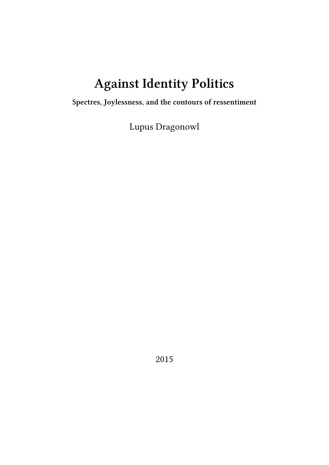# **Against Identity Politics**

**Spectres, Joylessness, and the contours of ressentiment**

Lupus Dragonowl

2015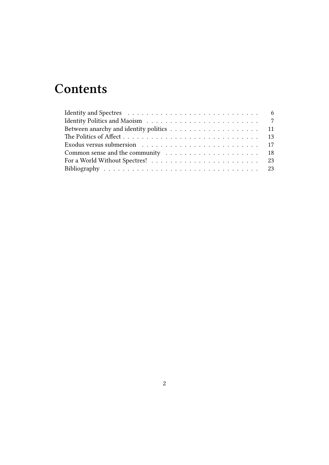## **Contents**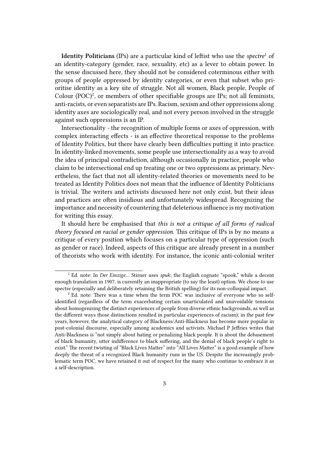**Identity Politicians** (IPs) are a particular kind of leftist who use the *spectre*<sup>1</sup> of an identity-category (gender, race, sexuality, etc) as a lever to obtain power. In the sense discussed here, they should not be considered coterminous either with groups of people oppressed by identity categories, or even that subset who prioritise identity as a key site of struggle. Not all women, Black people, People of Colour (POC)<sup>2</sup>, or members of other specifiable groups are IPs; not all feminists, anti-racists, or even separatists are IPs. Racism, sexism and other oppressions along identity axes are sociologically real, and not every person involved in the struggle against such oppressions is an IP.

Intersectionality - the recognition of multiple forms or axes of oppression, with complex interacting effects - is an effective theoretical response to the problems of Identity Politics, but there have clearly been difficulties putting it into practice. In identity-linked movements, some people use intersectionality as a way to avoid the idea of principal contradiction, although occasionally in practice, people who claim to be intersectional end up treating one or two oppressions as primary. Nevertheless, the fact that not all identity-related theories or movements need to be treated as Identity Politics does not mean that the influence of Identity Politicians is trivial. The writers and activists discussed here not only exist, but their ideas and practices are often insidious and unfortunately widespread. Recognizing the importance and necessity of countering that deleterious influence is my motivation for writing this essay.

It should here be emphasised that *this is not a critique of all forms of radical theory focused on racial or gender oppression.* This critique of IPs is by no means a critique of every position which focuses on a particular type of oppression (such as gender or race). Indeed, aspects of this critique are already present in a number of theorists who work with identity. For instance, the iconic anti-colonial writer

<sup>1</sup> Ed. note: In *Der Einzige…* Stirner uses *spuk*; the English cognate "spook," while a decent enough translation in 1907, is currently an inappropriate (to say the least) option. We chose to use spectre (especially and deliberately retaining the British spelling) for its non-colloquial impact.

<sup>&</sup>lt;sup>2</sup> Ed. note: There was a time when the term POC was inclusive of everyone who so selfidentified (regardless of the term exacerbating certain unarticulated and unavoidable tensions about homogenizing the distinct experiences of people from diverse ethnic backgrounds, as well as the different ways those distinctions resulted in particular experiences of racism); in the past few years, however, the analytical category of Blackness/Anti-Blackness has become more popular in post-colonial discourse, especially among academics and activists. Michael P Jeffries writes that Anti-Blackness is "not simply about hating or penalizing black people. It is about the debasement of black humanity, utter indifference to black suffering, and the denial of black people's right to exist." The recent twisting of "Black Lives Matter" into "All Lives Matter" is a good example of how deeply the threat of a recognized Black humanity runs in the US. Despite the increasingly problematic term POC, we have retained it out of respect for the many who continue to embrace it as a self-description.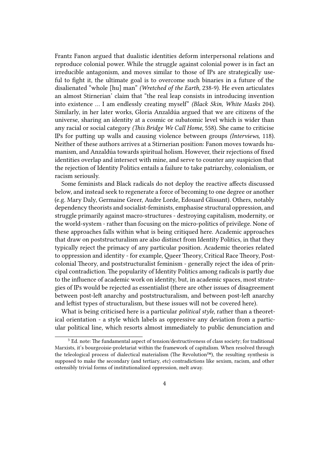Frantz Fanon argued that dualistic identities deform interpersonal relations and reproduce colonial power. While the struggle against colonial power is in fact an irreducible antagonism, and moves similar to those of IPs are strategically useful to fight it, the ultimate goal is to overcome such binaries in a future of the disalienated "whole [hu] man" *(Wretched of the Earth,* 238-9). He even articulates an almost Stirnerian' claim that "the real leap consists in introducing invention into existence … I am endlessly creating myself" *(Black Skin, White Masks* 204). Similarly, in her later works, Gloria Anzaldúa argued that we are citizens of the universe, sharing an identity at a cosmic or subatomic level which is wider than any racial or social category *(This Bridge We Call Home,* 558). She came to criticise IPs for putting up walls and causing violence between groups *(Interviews,* 118). Neither of these authors arrives at a Stirnerian position: Fanon moves towards humanism, and Anzaldúa towards spiritual holism. However, their rejections of fixed identities overlap and intersect with mine, and serve to counter any suspicion that the rejection of Identity Politics entails a failure to take patriarchy, colonialism, or racism seriously.

Some feminists and Black radicals do not deploy the reactive affects discussed below, and instead seek to regenerate a force of becoming to one degree or another (e.g. Mary Daly, Germaine Greer, Audre Lorde, Edouard Glissant). Others, notably dependency theorists and socialist-feminists, emphasise structural oppression, and struggle primarily against macro-structures - destroying capitalism, modernity, or the world-system - rather than focusing on the micro-politics of privilege. None of these approaches falls within what is being critiqued here. Academic approaches that draw on poststructuralism are also distinct from Identity Politics, in that they typically reject the primacy of any particular position. Academic theories related to oppression and identity - for example, Queer Theory, Critical Race Theory, Postcolonial Theory, and poststructuralist feminism - generally reject the idea of principal contradiction. The popularity of Identity Politics among radicals is partly due to the influence of academic work on identity, but, in academic spaces, most strategies of IPs would be rejected as essentialist (there are other issues of disagreement between post-left anarchy and poststructuralism, and between post-left anarchy and leftist types of structuralism, but these issues will not be covered here).

What is being criticised here is a particular *political style,* rather than a theoretical orientation - a style which labels as oppressive any deviation from a particular political line, which resorts almost immediately to public denunciation and

 $3$  Ed. note: The fundamental aspect of tension/destructiveness of class society; for traditional Marxists, it's bourgeoisie-proletariat within the framework of capitalism. When resolved through the teleological process of dialectical materialism (The Revolution™), the resulting synthesis is supposed to make the secondary (and tertiary, etc) contradictions like sexism, racism, and other ostensibly trivial forms of institutionalized oppression, melt away.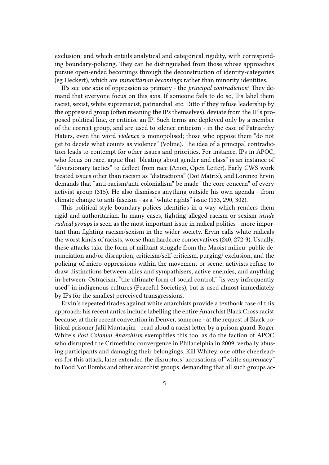exclusion, and which entails analytical and categorical rigidity, with corresponding boundary-policing. They can be distinguished from those whose approaches pursue open-ended becomings through the deconstruction of identity-categories (eg Heckert), which are *minoritarian becomings* rather than minority identities.

IPs see *one* axis of oppression as primary - the *principal contradiction*<sup>3</sup> They demand that everyone focus on this axis. If someone fails to do so, IPs label them racist, sexist, white supremacist, patriarchal, etc. Ditto if they refuse leadership by the oppressed group (often meaning the IPs themselves), deviate from the IP's proposed political line, or criticise an IP. Such terms are deployed only by a member of the correct group, and are used to silence criticism - in the case of Patriarchy Haters, even the word *violence* is monopolised; those who oppose them "do not get to decide what counts as violence" (Voline). The idea of a principal contradiction leads to contempt for other issues and priorities. For instance, IPs in APOC, who focus on race, argue that "bleating about gender and class" is an instance of "diversionary tactics" to deflect from race (Anon, Open Letter). Early CWS work treated issues other than racism as "distractions" (Dot Matrix), and Lorenzo Ervin demands that "anti-racism/anti-colonialism" be made "the core concern" of every activist group (315). He also dismisses anything outside his own agenda - from climate change to anti-fascism - as a "white rights" issue (133, 290, 302).

This political style boundary-polices identities in a way which renders them rigid and authoritarian. In many cases, fighting alleged racism or sexism *inside radical groups* is seen as the most important issue in radical politics - more important than fighting racism/sexism in the wider society. Ervin calls white radicals the worst kinds of racists, worse than hardcore conservatives (240, 272-3). Usually, these attacks take the form of militant struggle from the Maoist milieu: public denunciation and/or disruption, criticism/self-criticism, purging/ exclusion, and the policing of micro-oppressions within the movement or scene; activists refuse to draw distinctions between allies and sympathisers, active enemies, and anything in-between. Ostracism, "the ultimate form of social control," "is very infrequently used" in indigenous cultures (Peaceful Societies), but is used almost immediately by IPs for the smallest perceived transgressions.

Ervin's repeated tirades against white anarchists provide a textbook case of this approach; his recent antics include labelling the entire Anarchist Black Cross racist because, at their recent convention in Denver, someone - at the request of Black political prisoner Jalil Muntaqim - read aloud a racist letter by a prison guard. Roger White's *Post Colonial Anarchism* exemplifies this too, as do the faction of APOC who disrupted the Crimethlnc convergence in Philadelphia in 2009, verbally abusing participants and damaging their belongings. Kill Whitey, one ofthe cheerleaders for this attack, later extended the disruptors' accusations of"white supremacy" to Food Not Bombs and other anarchist groups, demanding that all such groups ac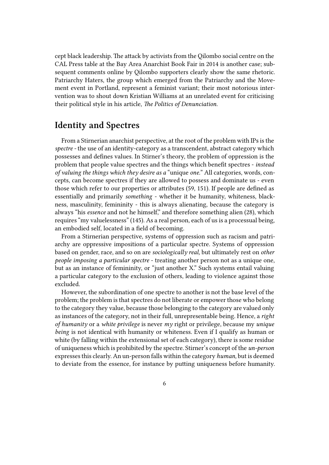cept black leadership. The attack by activists from the Qilombo social centre on the CAL Press table at the Bay Area Anarchist Book Fair in 2014 is another case; subsequent comments online by Qilombo supporters clearly show the same rhetoric. Patriarchy Haters, the group which emerged from the Patriarchy and the Movement event in Portland, represent a feminist variant; their most notorious intervention was to shout down Kristian Williams at an unrelated event for criticising their political style in his article, *The Politics of Denunciation.*

## <span id="page-5-0"></span>**Identity and Spectres**

From a Stirnerian anarchist perspective, at the root of the problem with IPs is the *spectre -* the use of an identity-category as a transcendent, abstract category which possesses and defines values. In Stirner's theory, the problem of oppression is the problem that people value spectres and the things which benefit spectres - *instead of valuing the things which they desire as a* "unique *one.*" All categories, words, concepts, can become spectres if they are allowed to possess and dominate us - even those which refer to our properties or attributes (59, 151). If people are defined as essentially and primarily *something* - whether it be humanity, whiteness, blackness, masculinity, femininity - this is always alienating, because the category is always "his *essence* and not he himself," and therefore something alien (28), which requires "my valuelessness" (145). As a real person, each of us is a processual being, an embodied self, located in a field of becoming.

From a Stirnerian perspective, systems of oppression such as racism and patriarchy are oppressive impositions of a particular spectre. Systems of oppression based on gender, race, and so on are *sociologically real,* but ultimately rest on *other people imposing a particular spectre* - treating another person not as a unique one, but as an instance of femininity, or "just another X." Such systems entail valuing a particular category to the exclusion of others, leading to violence against those excluded.

However, the subordination of one spectre to another is not the base level of the problem; the problem is that spectres do not liberate or empower those who belong to the category they value, because those belonging to the category are valued only as instances of the category, not in their full, unrepresentable being. Hence, a *right of humanity* or a *white privilege* is never *my* right or privilege, because my *unique being* is not identical with humanity or whiteness. Even if I qualify as human or white (by falling within the extensional set of each category), there is some residue of uniqueness which is prohibited by the spectre. Stirner's concept of the *un-person* expresses this clearly. An un-person falls within the category *human,* but is deemed to deviate from the essence, for instance by putting uniqueness before humanity.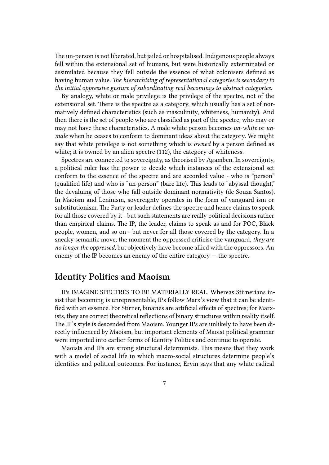The un-person is not liberated, but jailed or hospitalised. Indigenous people always fell within the extensional set of humans, but were historically exterminated or assimilated because they fell outside the essence of what colonisers defined as having human value. *The hierarchising of representational categories is secondary to the initial oppressive gesture of subordinating real becomings to abstract categories.*

By analogy, white or male privilege is the privilege of the spectre, not of the extensional set. There is the spectre as a category, which usually has a set of normatively defined characteristics (such as masculinity, whiteness, humanity). And then there is the set of people who are classified as part of the spectre, who may or may not have these characteristics. A male white person becomes *un-white* or *unmale* when he ceases to conform to dominant ideas about the category. We might say that white privilege is not something which is *owned* by a person defined as white; it is owned by an alien spectre (112), the category of whiteness.

Spectres are connected to sovereignty, as theorised by Agamben. In sovereignty, a political ruler has the power to decide which instances of the extensional set conform to the essence of the spectre and are accorded value - who is "person" (qualified life) and who is "un-person" (bare life). This leads to "abyssal thought," the devaluing of those who fall outside dominant normativity (de Souza Santos). In Maoism and Leninism, sovereignty operates in the form of vanguard ism or substitutionism. The Party or leader defines the spectre and hence claims to speak for all those covered by it - but such statements are really political decisions rather than empirical claims. The IP, the leader, claims to speak as and for POC, Black people, women, and so on - but never for all those covered by the category. In a sneaky semantic move, the moment the oppressed criticise the vanguard, *they are no longer the oppressed,* but objectively have become allied with the oppressors. An enemy of the IP becomes an enemy of the entire category — the spectre.

## <span id="page-6-0"></span>**Identity Politics and Maoism**

IPs IMAGINE SPECTRES TO BE MATERIALLY REAL. Whereas Stirnerians insist that becoming is unrepresentable, IPs follow Marx's view that it can be identified with an essence. For Stirner, binaries are artificial effects of spectres; for Marxists, they are correct theoretical reflections of binary structures within reality itself. The IP's style is descended from Maoism. Younger IPs are unlikely to have been directly influenced by Maoism, but important elements of Maoist political grammar were imported into earlier forms of Identity Politics and continue to operate.

Maoists and IPs are strong structural determinists. This means that they work with a model of social life in which macro-social structures determine people's identities and political outcomes. For instance, Ervin says that any white radical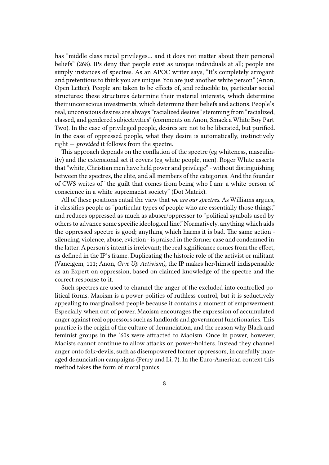has "middle class racial privileges… and it does not matter about their personal beliefs" (268). IPs deny that people exist as unique individuals at all; people are simply instances of spectres. As an APOC writer says, "It's completely arrogant and pretentious to think you are unique. You are just another white person" (Anon, Open Letter). People are taken to be effects of, and reducible to, particular social structures: these structures determine their material interests, which determine their unconscious investments, which determine their beliefs and actions. People's real, unconscious desires are always "racialized desires" stemming from "racialized, classed, and gendered subjectivities" (comments on Anon, Smack a White Boy Part Two). In the case of privileged people, desires are not to be liberated, but purified. In the case of oppressed people, what they desire is automatically, instinctively right — *provided* it follows from the spectre.

This approach depends on the conflation of the spectre (eg whiteness, masculinity) and the extensional set it covers (eg white people, men). Roger White asserts that "white, Christian men have held power and privilege" - without distinguishing between the spectres, the elite, and all members of the categories. And the founder of CWS writes of "the guilt that comes from being who I am: a white person of conscience in a white supremacist society" (Dot Matrix).

All of these positions entail the view that *we are our spectres.* As Williams argues, it classifies people as "particular types of people who are essentially those things," and reduces oppressed as much as abuser/oppressor to "political symbols used by others to advance some specific ideological line." Normatively, anything which aids the oppressed spectre is good; anything which harms it is bad. The same action silencing, violence, abuse, eviction - is praised in the former case and condemned in the latter. A person's intent is irrelevant; the real significance comes from the effect, as defined in the IP's frame. Duplicating the historic role of the activist or militant (Vaneigem, 111; Anon, *Give Up Activism),* the IP makes her/himself indispensable as an Expert on oppression, based on claimed knowledge of the spectre and the correct response to it.

Such spectres are used to channel the anger of the excluded into controlled political forms. Maoism is a power-politics of ruthless control, but it is seductively appealing to marginalised people because it contains a moment of empowerment. Especially when out of power, Maoism encourages the expression of accumulated anger against real oppressors such as landlords and government functionaries.This practice is the origin of the culture of denunciation, and the reason why Black and feminist groups in the '60s were attracted to Maoism. Once in power, however, Maoists cannot continue to allow attacks on power-holders. Instead they channel anger onto folk-devils, such as disempowered former oppressors, in carefully managed denunciation campaigns (Perry and Li, 7). In the Euro-American context this method takes the form of moral panics.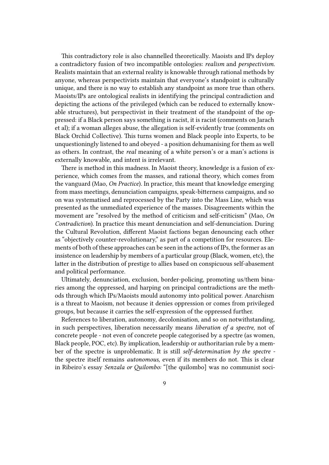This contradictory role is also channelled theoretically. Maoists and IPs deploy a contradictory fusion of two incompatible ontologies: *realism* and *perspectivism.* Realists maintain that an external reality is knowable through rational methods by anyone, whereas perspectivists maintain that everyone's standpoint is culturally unique, and there is no way to establish any standpoint as more true than others. Maoists/IPs are ontological realists in identifying the principal contradiction and depicting the actions of the privileged (which can be reduced to externally knowable structures), but perspectivist in their treatment of the standpoint of the oppressed: if a Black person says something is racist, it is racist (comments on Jarach et al); if a woman alleges abuse, the allegation is self-evidently true (comments on Black Orchid Collective). This turns women and Black people into Experts, to be unquestioningly listened to and obeyed - a position dehumanising for them as well as others. In contrast, the *real* meaning of a white person's or a man's actions is externally knowable, and intent is irrelevant.

There is method in this madness. In Maoist theory, knowledge is a fusion of experience, which comes from the masses, and rational theory, which comes from the vanguard (Mao, *On Practice*). In practice, this meant that knowledge emerging from mass meetings, denunciation campaigns, speak-bitterness campaigns, and so on was systematised and reprocessed by the Party into the Mass Line, which was presented as the unmediated experience of the masses. Disagreements within the movement are "resolved by the method of criticism and self-criticism" (Mao, *On Contradiction*). In practice this meant denunciation and self-denunciation. During the Cultural Revolution, different Maoist factions began denouncing each other as "objectively counter-revolutionary," as part of a competition for resources. Elements of both of these approaches can be seen in the actions of IPs, the former as an insistence on leadership by members of a particular group (Black, women, etc), the latter in the distribution of prestige to allies based on conspicuous self-abasement and political performance.

Ultimately, denunciation, exclusion, border-policing, promoting us/them binaries among the oppressed, and harping on principal contradictions are the methods through which IPs/Maoists mould autonomy into political power. Anarchism is a threat to Maoism, not because it denies oppression or comes from privileged groups, but because it carries the self-expression of the oppressed further.

References to liberation, autonomy, decolonisation, and so on notwithstanding, in such perspectives, liberation necessarily means *liberation of a spectre,* not of concrete people - not even of concrete people categorised by a spectre (as women, Black people, POC, etc). By implication, leadership or authoritarian rule by a member of the spectre is unproblematic. It is still *self-determination by the spectre*  the spectre itself remains *autonomous,* even if its members do not. This is clear in Ribeiro's essay *Senzala or Quilombo:* "[the quilombo] was no communist soci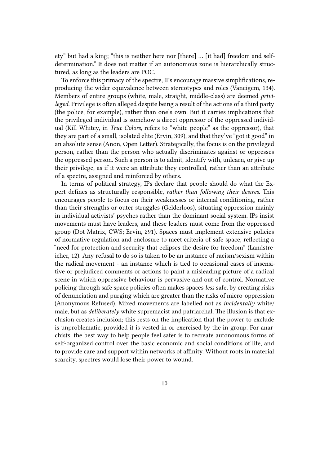ety" but had a king; "this is neither here nor [there] … [it had] freedom and selfdetermination." It does not matter if an autonomous zone is hierarchically structured, as long as the leaders are POC.

To enforce this primacy of the spectre, IPs encourage massive simplifications, reproducing the wider equivalence between stereotypes and roles (Vaneigem, 134). Members of entire groups (white, male, straight, middle-class) are deemed *privileged.* Privilege is often alleged despite being a result of the actions of a third party (the police, for example), rather than one's own. But it carries implications that the privileged individual is somehow a direct oppressor of the oppressed individual (Kill Whitey, in *True Colors,* refers to "white people" as the oppressor), that they are part of a small, isolated elite (Ervin, 309), and that they've "got it good" in an absolute sense (Anon, Open Letter). Strategically, the focus is on the privileged person, rather than the person who actually discriminates against or oppresses the oppressed person. Such a person is to admit, identify with, unlearn, or give up their privilege, as if it were an attribute they controlled, rather than an attribute of a spectre, assigned and reinforced by others.

In terms of political strategy, IPs declare that people should do what the Expert defines as structurally responsible, *rather than following their desires.* This encourages people to focus on their weaknesses or internal conditioning, rather than their strengths or outer struggles (Gelderloos), situating oppression mainly in individual activists' psyches rather than the dominant social system. IPs insist movements must have leaders, and these leaders must come from the oppressed group (Dot Matrix, CWS; Ervin, 291). Spaces must implement extensive policies of normative regulation and enclosure to meet criteria of safe space, reflecting a "need for protection and security that eclipses the desire for freedom" (Landstreicher, 12). Any refusal to do so is taken to be an instance of racism/sexism within the radical movement - an instance which is tied to occasional cases of insensitive or prejudiced comments or actions to paint a misleading picture of a radical scene in which oppressive behaviour is pervasive and out of control. Normative policing through safe space policies often makes spaces *less* safe, by creating risks of denunciation and purging which are greater than the risks of micro-oppression (Anonymous Refused). Mixed movements are labelled not as *incidentally* white/ male, but as *deliberately* white supremacist and patriarchal. The illusion is that exclusion creates inclusion; this rests on the implication that the power to exclude is unproblematic, provided it is vested in or exercised by the in-group. For anarchists, the best way to help people feel safer is to recreate autonomous forms of self-organized control over the basic economic and social conditions of life, and to provide care and support within networks of affinity. Without roots in material scarcity, spectres would lose their power to wound.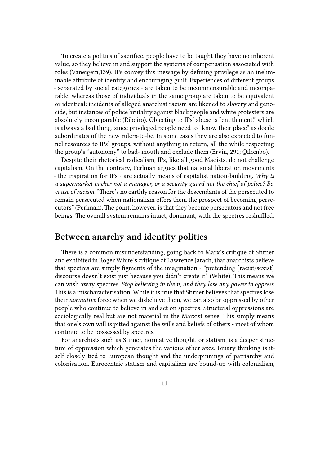To create a politics of sacrifice, people have to be taught they have no inherent value, so they believe in and support the systems of compensation associated with roles (Vaneigem,139). IPs convey this message by defining privilege as an ineliminable attribute of identity and encouraging guilt. Experiences of different groups - separated by social categories - are taken to be incommensurable and incomparable, whereas those of individuals in the same group are taken to be equivalent or identical: incidents of alleged anarchist racism are likened to slavery and genocide, but instances of police brutality against black people and white protesters are absolutely incomparable (Ribeiro). Objecting to IPs' abuse is "entitlement," which is always a bad thing, since privileged people need to "know their place" as docile subordinates of the new rulers-to-be. In some cases they are also expected to funnel resources to IPs' groups, without anything in return, all the while respecting the group's "autonomy" to bad- mouth and exclude them (Ervin, 291; Qilombo).

Despite their rhetorical radicalism, IPs, like all good Maoists, do not challenge capitalism. On the contrary, Perlman argues that national liberation movements - the inspiration for IPs - are actually means of capitalist nation-building. *Why is a supermarket packer not a manager, or a security guard not the chief of police? Because of racism.* "There's no earthly reason for the descendants of the persecuted to remain persecuted when nationalism offers them the prospect of becoming persecutors" (Perlman). The point, however, is that they become persecutors and not free beings. The overall system remains intact, dominant, with the spectres reshuffled.

#### <span id="page-10-0"></span>**Between anarchy and identity politics**

There is a common misunderstanding, going back to Marx's critique of Stirner and exhibited in Roger White's critique of Lawrence Jarach, that anarchists believe that spectres are simply figments of the imagination - "pretending [racist/sexist] discourse doesn't exist just because you didn't create it" (White). This means we can wish away spectres. *Stop believing in them, and they lose any power to oppress.* This is a mischaracterisation. While it is true that Stirner believes that spectres lose their *normative* force when we disbelieve them, we can also be oppressed by other people who continue to believe in and act on spectres. Structural oppressions are sociologically real but are not material in the Marxist sense. This simply means that one's own will is pitted against the wills and beliefs of others - most of whom continue to be possessed by spectres.

For anarchists such as Stirner, normative thought, or statism, is a deeper structure of oppression which generates the various other axes. Binary thinking is itself closely tied to European thought and the underpinnings of patriarchy and colonisation. Eurocentric statism and capitalism are bound-up with colonialism,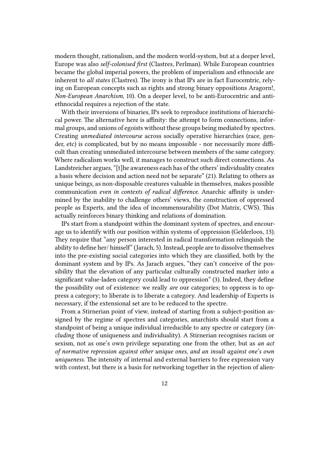modern thought, rationalism, and the modern world-system, but at a deeper level, Europe was also *self-colonised first* (Clastres, Perlman). While European countries became the global imperial powers, the problem of imperialism and ethnocide are inherent to *all states* (Clastres). The irony is that IPs are in fact Eurocemtric, relying on European concepts such as rights and strong binary oppositions Aragorn!, *Non-European Anarchism,* 10). On a deeper level, to be anti-Eurocentric and antiethnocidal requires a rejection of the state.

With their inversions of binaries, IPs seek to reproduce institutions of hierarchical power. The alternative here is affinity: the attempt to form connections, informal groups, and unions of egoists without these groups being mediated by spectres. Creating *unmediated intercourse* across socially operative hierarchies (race, gender, etc) is complicated, but by no means impossible - nor necessarily more difficult than creating unmediated intercourse between members of the same category. Where radicalism works well, it manages to construct such direct connections. As Landstreicher argues, "[t]he awareness each has of the others' individuality creates a basis where decision and action need not be separate" (21). Relating to others as unique beings, as non-disposable creatures valuable in themselves, makes possible communication *even in contexts of radical difference.* Anarchic affinity is undermined by the inability to challenge others' views, the construction of oppressed people as Experts, and the idea of incommensurability (Dot Matrix, CWS). This actually reinforces binary thinking and relations of domination.

IPs start from a standpoint within the dominant system of spectres, and encourage us to identify with our position within systems of oppression (Gelderloos, 13). They require that "any person interested in radical transformation relinquish the ability to define her/ himself" (Jarach, 5). Instead, people are to dissolve themselves into the pre-existing social categories into which they are classified, both by the dominant system and by IPs. As Jarach argues, "they can't conceive of the possibility that the elevation of any particular culturally constructed marker into a significant value-laden category could lead to oppression" (3). Indeed, they define the possibility out of existence: we really *are* our categories; to oppress is to oppress a category; to liberate is to liberate a category. And leadership of Experts is necessary, if the extensional set are to be reduced to the spectre.

From a Stirnerian point of view, instead of starting from a subject-position assigned by the regime of spectres and categories, anarchists should start from a standpoint of being a unique individual irreducible to any spectre or category (*including* those of uniqueness and individuality). A Stirnerian recognises racism or sexism, not as one's own privilege separating one from the other, but as *an act of normative repression against other unique ones, and an insult against one's own uniqueness.* The intensity of internal and external barriers to free expression vary with context, but there is a basis for networking together in the rejection of alien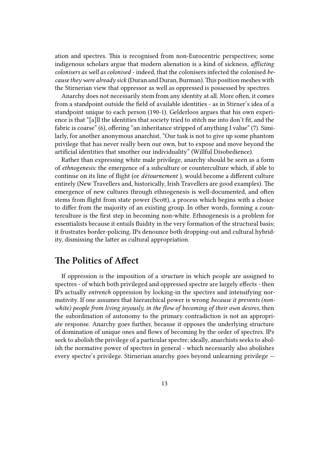ation and spectres. This is recognised from non-Eurocentric perspectives; some indigenous scholars argue that modern alienation is a kind of sickness, *afflicting colonisers as well as colonised* - indeed, that the colonisers infected the colonised *because they were already sick* (Duran and Duran, Burman).This position meshes with the Stirnerian view that oppressor as well as oppressed is possessed by spectres.

Anarchy does not necessarily stem from any identity at all. More often, it comes from a standpoint outside the field of available identities - as in Stirner's idea of a standpoint unique to each person (190-1). Gelderloos argues that his own experience is that "[a]ll the identities that society tried to stitch me into don't fit, and the fabric is coarse" (6), offering "an inheritance stripped of anything I value" (7). Similarly, for another anonymous anarchist, "Our task is not to give up some phantom privilege that has never really been our own, but to expose and move beyond the artificial identities that smother our individuality" (Willful Disobedience).

Rather than expressing white male privilege, anarchy should be seen as a form of *ethnogenesis:* the emergence of a subculture or counterculture which, if able to continue on its line of flight (or *détournement* ), would become a different culture entirely (New Travellers and, historically, Irish Travellers are good examples). The emergence of new cultures through ethnogenesis is well-documented, and often stems from flight from state power (Scott), a process which begins with a choice to differ from the majority of an existing group. In other words, forming a counterculture is the first step in becoming non-white. Ethnogenesis is a problem for essentialists because it entails fluidity in the very formation of the structural basis; it frustrates border-policing. IPs denounce both dropping-out and cultural hybridity, dismissing the latter as cultural appropriation.

## <span id="page-12-0"></span>**The Politics of Affect**

If oppression is the imposition of a *structure* in which people are assigned to spectres - of which both privileged and oppressed spectre are largely effects - then IPs actually *entrench* oppression by locking-in the spectres and intensifying normativity. If one assumes that hierarchical power is wrong *because it prevents (nonwhite) people from living joyously, in the flow of becoming of their own desires,* then the subordination of autonomy to the primary contradiction is not an appropriate response. Anarchy goes further, because it opposes the underlying structure of domination of unique ones and flows of becoming by the order of spectres. IPs seek to abolish the privilege of a particular spectre; ideally, anarchists seeks to abolish the normative power of spectres in general - which necessarily also abolishes every spectre's privilege. Stirnerian anarchy goes beyond unlearning privilege —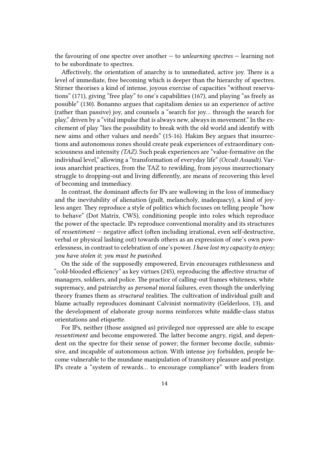the favouring of one spectre over another — to *unlearning spectres* — learning not to be subordinate to spectres.

Affectively, the orientation of anarchy is to unmediated, active joy. There is a level of immediate, free becoming which is deeper than the hierarchy of spectres. Stirner theorises a kind of intense, joyous exercise of capacities "without reservations" (171), giving "free play" to one's capabilities (167), and playing "as freely as possible" (130). Bonanno argues that capitalism denies us an experience of active (rather than passive) joy, and counsels a "search for joy… through the search for play," driven by a "vital impulse that is always new, always in movement." In the excitement of play "lies the possibility to break with the old world and identify with new aims and other values and needs" (15-16). Hakim Bey argues that insurrections and autonomous zones should create peak experiences of extraordinary consciousness and intensity *(TAZ).* Such peak experiences are "value-formative on the individual level," allowing a "transformation of everyday life" *(Occult Assault).* Various anarchist practices, from the TAZ to rewilding, from joyous insurrectionary struggle to dropping-out and living differently, are means of recovering this level of becoming and immediacy.

In contrast, the dominant affects for IPs are wallowing in the loss of immediacy and the inevitability of alienation (guilt, melancholy, inadequacy), a kind of joyless anger. They reproduce a style of politics which focuses on telling people "how to behave" (Dot Matrix, CWS), conditioning people into roles which reproduce the power of the spectacle. IPs reproduce conventional morality and its structures of *ressentiment* — negative affect (often including irrational, even self-destructive, verbal or physical lashing out) towards others as an expression of one's own powerlessness, in contrast to celebration of one's power. *I have lost my capacity to enjoy; you have stolen it; you must be punished.*

On the side of the supposedly empowered, Ervin encourages ruthlessness and "cold-blooded efficiency" as key virtues (245), reproducing the affective structur of managers, soldiers, and police. The practice of calling-out frames whiteness, white supremacy, and patriarchy as *personal* moral failures, even though the underlying theory frames them as *structural* realities. The cultivation of individual guilt and blame actually reproduces dominant Calvinist normativity (Gelderloos, 13), and the development of elaborate group norms reinforces white middle-class status orientations and etiquette.

For IPs, neither (those assigned as) privileged nor oppressed are able to escape *ressentiment* and become empowered. The latter become angry, rigid, and dependent on the spectre for their sense of power; the former become docile, submissive, and incapable of autonomous action. With intense joy forbidden, people become vulnerable to the mundane manipulation of transitory pleasure and prestige. IPs create a "system of rewards… to encourage compliance" with leaders from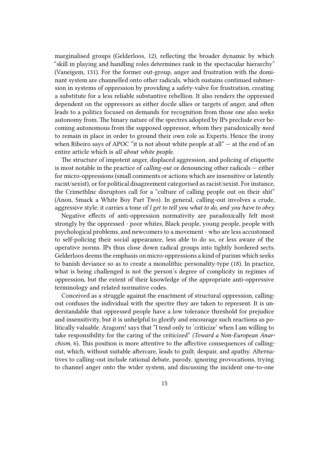marginalised groups (Gelderloos, 12), reflecting the broader dynamic by which "skill in playing and handling roles determines rank in the spectacular hierarchy" (Vaneigem, 131). For the former out-group, anger and frustration with the dominant system are channelled onto other radicals, which sustains continued submersion in systems of oppression by providing a safety-valve for frustration, creating a substitute for a less reliable substantive rebellion. It also renders the oppressed dependent on the oppressors as either docile allies or targets of anger, and often leads to a politics focused on demands for recognition from those one also seeks autonomy from. The binary nature of the spectres adopted by IPs preclude ever becoming autonomous from the supposed oppressor, whom they paradoxically *need* to remain in place in order to ground their own role as Experts. Hence the irony when Ribeiro says of APOC "it is not about white people at all" — at the end of an entire article which is *all about white people.*

The structure of impotent anger, displaced aggression, and policing of etiquette is most notable in the practice of *calling-out* or denouncing other radicals — either for micro-oppressions (small comments or actions which are insensitive or latently racist/sexist), or for political disagreement categorised as racist/sexist. For instance, the CrimethInc disruptors call for a "culture of calling people out on their shit" (Anon, Smack a White Boy Part Two). In general, calling-out involves a crude, aggressive style; it carries a tone of *I get to tell you what to do, and you have to obey.*

Negative effects of anti-oppression normativity are paradoxically felt most strongly by the oppressed - poor whites, Black people, young people, people with psychological problems, and newcomers to a movement - who are less accustomed to self-policing their social appearance, less able to do so, or less aware of the operative norms. IPs thus close down radical groups into tightly bordered sects. Gelderloos deems the emphasis on micro-oppressions a kind of purism which seeks to banish deviance so as to create a monolithic personality-type (18). In practice, what is being challenged is not the person's degree of complicity in regimes of oppression, but the extent of their knowledge of the appropriate anti-oppressive terminology and related normative codes.

Conceived as a struggle against the enactment of structural oppression, callingout confuses the individual with the spectre they are taken to represent. It is understandable that oppressed people have a low tolerance threshold for prejudice and insensitivity, but it is unhelpful to glorify and encourage such reactions as politically valuable. Aragorn! says that "I tend only to 'criticize' when I am willing to take responsibility for the caring of the criticized" *(Toward a Non-European Anarchism,* 6). This position is more attentive to the affective consequences of callingout, which, without suitable aftercare, leads to guilt, despair, and apathy. Alternatives to calling-out include rational debate, parody, ignoring provocations, trying to channel anger onto the wider system, and discussing the incident one-to-one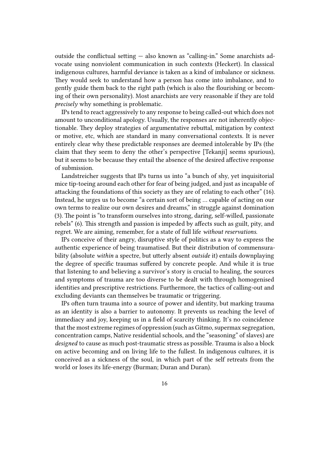outside the conflictual setting — also known as "calling-in." Some anarchists advocate using nonviolent communication in such contexts (Heckert). In classical indigenous cultures, harmful deviance is taken as a kind of imbalance or sickness. They would seek to understand how a person has come into imbalance, and to gently guide them back to the right path (which is also the flourishing or becoming of their own personality). Most anarchists are very reasonable if they are told *precisely* why something is problematic.

IPs tend to react aggressively to any response to being called-out which does not amount to unconditional apology. Usually, the responses are not inherently objectionable. They deploy strategies of argumentative rebuttal, mitigation by context or motive, etc, which are standard in many conversational contexts. It is never entirely clear why these predictable responses are deemed intolerable by IPs (the claim that they seem to deny the other's perspective [Tekanji] seems spurious), but it seems to be because they entail the absence of the desired affective response of submission.

Landstreicher suggests that IPs turns us into "a bunch of shy, yet inquisitorial mice tip-toeing around each other for fear of being judged, and just as incapable of attacking the foundations of this society as they are of relating to each other" (16). Instead, he urges us to become "a certain sort of being … capable of acting on our own terms to realize our own desires and dreams," in struggle against domination (3). The point is "to transform ourselves into strong, daring, self-willed, passionate rebels" (6). This strength and passion is impeded by affects such as guilt, pity, and regret. We are aiming, remember, for a state of full life *without reservations.*

IPs conceive of their angry, disruptive style of politics as a way to express the authentic experience of being traumatised. But their distribution of commensurability (absolute *within* a spectre, but utterly absent *outside* it) entails downplaying the degree of specific traumas suffered by concrete people. And while it is true that listening to and believing a survivor's story is crucial to healing, the sources and symptoms of trauma are too diverse to be dealt with through homogenised identities and prescriptive restrictions. Furthermore, the tactics of calling-out and excluding deviants can themselves be traumatic or triggering.

IPs often turn trauma into a source of power and identity, but marking trauma as an identity is also a barrier to autonomy. It prevents us reaching the level of immediacy and joy, keeping us in a field of scarcity thinking. It's no coincidence that the most extreme regimes of oppression (such as Gitmo, supermax segregation, concentration camps, Native residential schools, and the "seasoning" of slaves) are *designed* to cause as much post-traumatic stress as possible. Trauma is also a block on active becoming and on living life to the fullest. In indigenous cultures, it is conceived as a sickness of the soul, in which part of the self retreats from the world or loses its life-energy (Burman; Duran and Duran).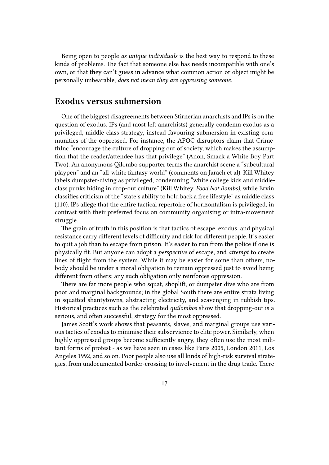Being open to people *as unique individuals* is the best way to respond to these kinds of problems. The fact that someone else has needs incompatible with one's own, or that they can't guess in advance what common action or object might be personally unbearable, *does not mean they are oppressing someone*.

#### <span id="page-16-0"></span>**Exodus versus submersion**

One of the biggest disagreements between Stirnerian anarchists and IPs is on the question of exodus. IPs (and most left anarchists) generally condemn exodus as a privileged, middle-class strategy, instead favouring submersion in existing communities of the oppressed. For instance, the APOC disruptors claim that CrimethInc "encourage the culture of dropping out of society, which makes the assumption that the reader/attendee has that privilege" (Anon, Smack a White Boy Part Two). An anonymous Qilombo supporter terms the anarchist scene a "subcultural playpen" and an "all-white fantasy world" (comments on Jarach et al). Kill Whitey labels dumpster-diving as privileged, condemning "white college kids and middleclass punks hiding in drop-out culture" (Kill Whitey, *Food Not Bombs),* while Ervin classifies criticism of the "state's ability to hold back a free lifestyle" as middle class (110). IPs allege that the entire tactical repertoire of horizontalism is privileged, in contrast with their preferred focus on community organising or intra-movement struggle.

The grain of truth in this position is that tactics of escape, exodus, and physical resistance carry different levels of difficulty and risk for different people. It's easier to quit a job than to escape from prison. It's easier to run from the police if one is physically fit. But anyone can adopt a *perspective* of escape, and *attempt* to create lines of flight from the system. While it may be easier for some than others, nobody should be under a moral obligation to remain oppressed just to avoid being different from others; any such obligation only reinforces oppression.

There are far more people who squat, shoplift, or dumpster dive who are from poor and marginal backgrounds; in the global South there are entire strata living in squatted shantytowns, abstracting electricity, and scavenging in rubbish tips. Historical practices such as the celebrated *quilombos* show that dropping-out is a serious, and often successful, strategy for the most oppressed.

James Scott's work shows that peasants, slaves, and marginal groups use various tactics of exodus to minimise their subservience to elite power. Similarly, when highly oppressed groups become sufficiently angry, they often use the most militant forms of protest - as we have seen in cases like Paris 2005, London 2011, Los Angeles 1992, and so on. Poor people also use all kinds of high-risk survival strategies, from undocumented border-crossing to involvement in the drug trade. There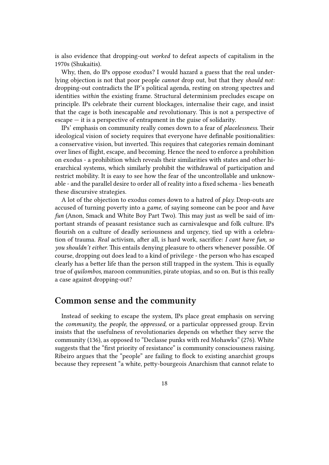is also evidence that dropping-out *worked* to defeat aspects of capitalism in the 1970s (Shukaitis).

Why, then, do IPs oppose exodus? I would hazard a guess that the real underlying objection is not that poor people *cannot* drop out, but that they *should not*: dropping-out contradicts the IP's political agenda, resting on strong spectres and identities *within* the existing frame. Structural determinism precludes escape on principle. IPs celebrate their current blockages, internalise their cage, and insist that the cage is both inescapable *and* revolutionary. This is not a perspective of  $\epsilon$  escape  $-$  it is a perspective of entrapment in the guise of solidarity.

IPs' emphasis on community really comes down to a fear of *placelessness.* Their ideological vision of society requires that everyone have definable positionalities: a conservative vision, but inverted. This requires that categories remain dominant over lines of flight, escape, and becoming. Hence the need to enforce a prohibition on exodus - a prohibition which reveals their similarities with states and other hierarchical systems, which similarly prohibit the withdrawal of participation and restrict mobility. It is easy to see how the fear of the uncontrollable and unknowable - and the parallel desire to order all of reality into a fixed schema - lies beneath these discursive strategies.

A lot of the objection to exodus comes down to a hatred of *play.* Drop-outs are accused of turning poverty into a *game,* of saying someone can be poor and *have fun* (Anon, Smack and White Boy Part Two). This may just as well be said of important strands of peasant resistance such as carnivalesque and folk culture. IPs flourish on a culture of deadly seriousness and urgency, tied up with a celebration of trauma. *Real* activism, after all, is hard work, sacrifice: *I cant have fun, so you shouldn't either.* This entails denying pleasure to others whenever possible. Of course, dropping out does lead to a kind of privilege - the person who has escaped clearly has a better life than the person still trapped in the system. This is equally true of *quilombos,* maroon communities, pirate utopias, and so on. But is this really a case against dropping-out?

#### **Common sense and the community**

Instead of seeking to escape the system, IPs place great emphasis on serving the *community,* the *people,* the *oppressed,* or a particular oppressed group. Ervin insists that the usefulness of revolutionaries depends on whether they serve the community (136), as opposed to "Declasse punks with red Mohawks" (276). White suggests that the "first priority of resistance" is community consciousness raising. Ribeiro argues that the "people" are failing to flock to existing anarchist groups because they represent "a white, petty-bourgeois Anarchism that cannot relate to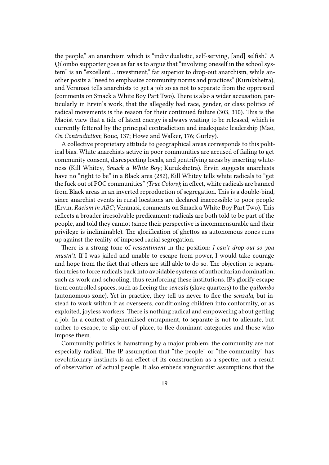the people," an anarchism which is "individualistic, self-serving, [and] selfish." A Qilombo supporter goes as far as to argue that "involving oneself in the school system" is an "excellent… investment," far superior to drop-out anarchism, while another posits a "need to emphasize community norms and practices" (Kurukshetra), and Veranasi tells anarchists to get a job so as not to separate from the oppressed (comments on Smack a White Boy Part Two). There is also a wider accusation, particularly in Ervin's work, that the allegedly bad race, gender, or class politics of radical movements is the reason for their continued failure (303, 310). This is the Maoist view that a tide of latent energy is always waiting to be released, which is currently fettered by the principal contradiction and inadequate leadership (Mao, *On Contradiction*; Bouc, 137; Howe and Walker, 176; Gurley).

A collective proprietary attitude to geographical areas corresponds to this political bias. White anarchists active in poor communities are accused of failing to get community consent, disrespecting locals, and gentrifying areas by inserting whiteness (Kill Whitey, *Smack a White Boy*; Kurukshetra). Ervin suggests anarchists have no "right to be" in a Black area (282), Kill Whitey tells white radicals to "get the fuck out of POC communities"*(True Colors)*; in effect, white radicals are banned from Black areas in an inverted reproduction of segregation. This is a double-bind, since anarchist events in rural locations are declared inaccessible to poor people (Ervin, *Racism in ABC*; Veranasi, comments on Smack a White Boy Part Two). This reflects a broader irresolvable predicament: radicals are both told to be part of the people, and told they cannot (since their perspective is incommensurable and their privilege is ineliminable). The glorification of ghettos as autonomous zones runs up against the reality of imposed racial segregation.

There is a strong tone of *ressentiment* in the position: *I can't drop out so you mustn't.* If I was jailed and unable to escape from power, I would take courage and hope from the fact that others are still able to do so. The objection to separation tries to force radicals back into avoidable systems of authoritarian domination, such as work and schooling, thus reinforcing these institutions. IPs glorify escape from controlled spaces, such as fleeing the *senzala* (slave quarters) to the *quilombo* (autonomous zone). Yet in practice, they tell us never to flee the *senzala,* but instead to work within it as overseers, conditioning children into conformity, or as exploited, joyless workers. There is nothing radical and empowering about getting a job. In a context of generalised entrapment, to separate is not to alienate, but rather to escape, to slip out of place, to flee dominant categories and those who impose them.

Community politics is hamstrung by a major problem: the community are not especially radical. The IP assumption that "the people" or "the community" has revolutionary instincts is an effect of its construction as a spectre, not a result of observation of actual people. It also embeds vanguardist assumptions that the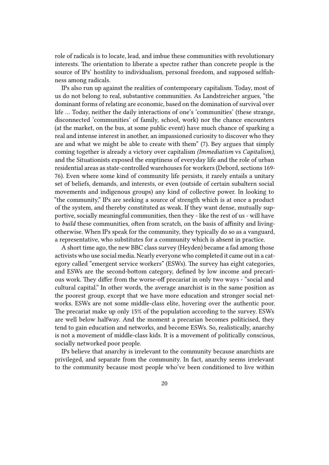role of radicals is to locate, lead, and imbue these communities with revolutionary interests. The orientation to liberate a spectre rather than concrete people is the source of IPs' hostility to individualism, personal freedom, and supposed selfishness among radicals.

IPs also run up against the realities of contemporary capitalism. Today, most of us do not belong to real, substantive communities. As Landstreicher argues, "the dominant forms of relating are economic, based on the domination of survival over life … Today, neither the daily interactions of one's 'communities' (these strange, disconnected 'communities' of family, school, work) nor the chance encounters (at the market, on the bus, at some public event) have much chance of sparking a real and intense interest in another, an impassioned curiosity to discover who they are and what we might be able to create with them" (7). Bey argues that simply coming together is already a victory over capitalism *(Immediatism* vs *Capitalism),* and the Situationists exposed the emptiness of everyday life and the role of urban residential areas as state-controlled warehouses for workers (Debord, sections 169- 76). Even where some kind of community life persists, it rarely entails a unitary set of beliefs, demands, and interests, or even (outside of certain subaltern social movements and indigenous groups) any kind of collective power. In looking to "the community," IPs are seeking a source of strength which is at once a product of the system, and thereby constituted as weak. If they want dense, mutually supportive, socially meaningful communities, then they - like the rest of us - will have to *build* these communities, often from scratch, on the basis of affinity and livingotherwise. When IPs speak for the community, they typically do so as a vanguard, a representative, who substitutes for a community which is absent in practice.

A short time ago, the new BBC class survey (Heyden) became a fad among those activists who use social media. Nearly everyone who completed it came out in a category called "emergent service workers" (ESWs). The survey has eight categories, and ESWs are the second-bottom category, defined by low income and precarious work. They differ from the worse-off precariat in only two ways - "social and cultural capital." In other words, the average anarchist is in the same position as the poorest group, except that we have more education and stronger social networks. ESWs are not some middle-class elite, hovering over the authentic poor. The precariat make up only 15% of the population according to the survey. ESWs are well below halfway. And the moment a precarian becomes politicised, they tend to gain education and networks, and become ESWs. So, realistically, anarchy is not a movement of middle-class kids. It is a movement of politically conscious, socially networked poor people.

IPs believe that anarchy is irrelevant to the community because anarchists are privileged, and separate from the community. In fact, anarchy seems irrelevant to the community because most people who've been conditioned to live within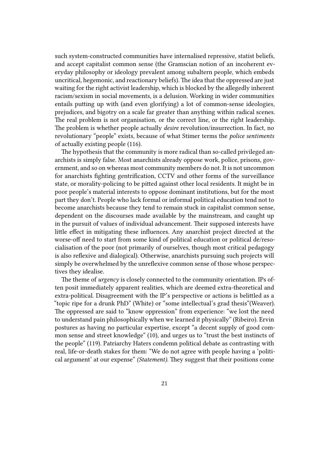such system-constructed communities have internalised repressive, statist beliefs, and accept capitalist common sense (the Gramscian notion of an incoherent everyday philosophy or ideology prevalent among subaltern people, which embeds uncritical, hegemonic, and reactionary beliefs). The idea that the oppressed are just waiting for the right activist leadership, which is blocked by the allegedly inherent racism/sexism in social movements, is a delusion. Working in wider communities entails putting up with (and even glorifying) a lot of common-sense ideologies, prejudices, and bigotry on a scale far greater than anything within radical scenes. The real problem is not organisation, or the correct line, or the right leadership. The problem is whether people actually *desire* revolution/insurrection. In fact, no revolutionary "people" exists, because of what Stimer terms the *police sentiments* of actually existing people (116).

The hypothesis that the community is more radical than so-called privileged anarchists is simply false. Most anarchists already oppose work, police, prisons, government, and so on whereas most community members do not. It is not uncommon for anarchists fighting gentrification, CCTV and other forms of the surveillance state, or morality-policing to be pitted against other local residents. It might be in poor people's material interests to oppose dominant institutions, but for the most part they don't. People who lack formal or informal political education tend not to become anarchists because they tend to remain stuck in capitalist common sense, dependent on the discourses made available by the mainstream, and caught up in the pursuit of values of individual advancement. Their supposed interests have little effect in mitigating these influences. Any anarchist project directed at the worse-off need to start from some kind of political education or political de/resocialisation of the poor (not primarily of ourselves, though most critical pedagogy is also reflexive and dialogical). Otherwise, anarchists pursuing such projects will simply be overwhelmed by the unreflexive common sense of those whose perspectives they idealise.

The theme of *urgency* is closely connected to the community orientation. IPs often posit immediately apparent realities, which are deemed extra-theoretical and extra-political. Disagreement with the IP's perspective or actions is belittled as a "topic ripe for a drunk PhD" (White) or "some intellectual's grad thesis"(Weaver). The oppressed are said to "know oppression" from experience: "we lost the need to understand pain philosophically when we learned it physically" (Ribeiro). Ervin postures as having no particular expertise, except "a decent supply of good common sense and street knowledge" (10), and urges us to "trust the best instincts of the people" (119). Patriarchy Haters condemn political debate as contrasting with real, life-or-death stakes for them: "We do not agree with people having a 'political argument' at our expense" *(Statement).* They suggest that their positions come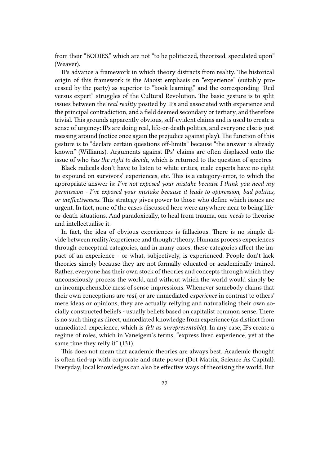from their "BODIES," which are not "to be politicized, theorized, speculated upon" (Weaver).

IPs advance a framework in which theory distracts from reality. The historical origin of this framework is the Maoist emphasis on "experience" (suitably processed by the party) as superior to "book learning," and the corresponding "Red versus expert" struggles of the Cultural Revolution. The basic gesture is to split issues between the *real reality* posited by IPs and associated with experience and the principal contradiction, and a field deemed secondary or tertiary, and therefore trivial. This grounds apparently obvious, self-evident claims and is used to create a sense of urgency: IPs are doing real, life-or-death politics, and everyone else is just messing around (notice once again the prejudice against play). The function of this gesture is to "declare certain questions off-limits" because "the answer is already known" (Williams). Arguments against IPs' claims are often displaced onto the issue of who *has the right to decide,* which is returned to the question of spectres

Black radicals don't have to listen to white critics, male experts have no right to expound on survivors' experiences, etc. This is a category-error, to which the appropriate answer is: *I've not exposed your mistake because I think you need my permission - I've exposed your mistake because it leads to oppression, bad politics, or ineffectiveness.* This strategy gives power to those who define which issues are urgent. In fact, none of the cases discussed here were anywhere near to being lifeor-death situations. And paradoxically, to heal from trauma, one *needs* to theorise and intellectualise it.

In fact, the idea of obvious experiences is fallacious. There is no simple divide between reality/experience and thought/theory. Humans process experiences through conceptual categories, and in many cases, these categories affect the impact of an experience - or what, subjectively, is experienced. People don't lack theories simply because they are not formally educated or academically trained. Rather, everyone has their own stock of theories and concepts through which they unconsciously process the world, and without which the world would simply be an incomprehensible mess of sense-impressions. Whenever somebody claims that their own conceptions are *real,* or are unmediated *experience* in contrast to others' mere ideas or opinions, they are actually reifying and naturalising their own socially constructed beliefs - usually beliefs based on capitalist common sense. There is no such thing as direct, unmediated knowledge from experience (as distinct from unmediated experience, which is *felt as unrepresentable*). In any case, IPs create a regime of roles, which in Vaneigem's terms, "express lived experience, yet at the same time they reify it" (131).

This does not mean that academic theories are always best. Academic thought is often tied-up with corporate and state power (Dot Matrix, Science As Capital). Everyday, local knowledges can also be effective ways of theorising the world. But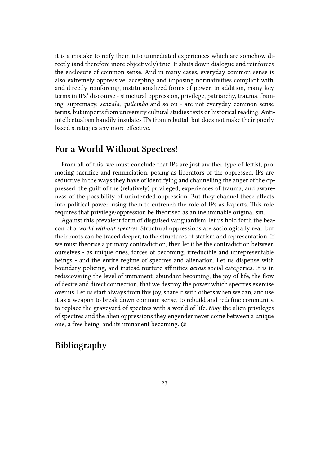it is a mistake to reify them into unmediated experiences which are somehow directly (and therefore more objectively) true. It shuts down dialogue and reinforces the enclosure of common sense. And in many cases, everyday common sense is also extremely oppressive, accepting and imposing normativities complicit with, and directly reinforcing, institutionalized forms of power. In addition, many key terms in IPs' discourse - structural oppression, privilege, patriarchy, trauma, framing, supremacy, *senzala, quilombo* and so on - are not everyday common sense terms, but imports from university cultural studies texts or historical reading. Antiintellectualism handily insulates IPs from rebuttal, but does not make their poorly based strategies any more effective.

#### **For a World Without Spectres!**

From all of this, we must conclude that IPs are just another type of leftist, promoting sacrifice and renunciation, posing as liberators of the oppressed. IPs are seductive in the ways they have of identifying and channelling the anger of the oppressed, the guilt of the (relatively) privileged, experiences of trauma, and awareness of the possibility of unintended oppression. But they channel these affects into political power, using them to entrench the role of IPs as Experts. This role requires that privilege/oppression be theorised as an ineliminable original sin.

Against this prevalent form of disguised vanguardism, let us hold forth the beacon of a *world without spectres.* Structural oppressions are sociologically real, but their roots can be traced deeper, to the structures of statism and representation. If we must theorise a primary contradiction, then let it be the contradiction between ourselves - as unique ones, forces of becoming, irreducible and unrepresentable beings - and the entire regime of spectres and alienation. Let us dispense with boundary policing, and instead nurture affinities *across* social categories. It is in rediscovering the level of immanent, abundant becoming, the joy of life, the flow of desire and direct connection, that we destroy the power which spectres exercise over us. Let us start always from this joy, share it with others when we can, and use it as a weapon to break down common sense, to rebuild and redefine community, to replace the graveyard of spectres with a world of life. May the alien privileges of spectres and the alien oppressions they engender never come between a unique one, a free being, and its immanent becoming. @

## **Bibliography**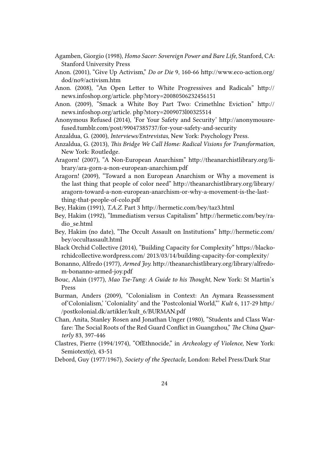- Agamben, Giorgio (1998), *Homo Sacer: Sovereign Power and Bare Life,* Stanford, CA: Stanford University Press
- Anon. (2001), "Give Up Activism," *Do or Die* 9, 160-66 http://www.eco-action.org/ dod/no9/activism.htm
- Anon. (2008), "An Open Letter to White Progressives and Radicals" http:// news.infoshop.org/article. php?story=20080506232456151
- Anon. (2009), "Smack a White Boy Part Two: Crimethlnc Eviction" http:// news.infoshop.org/article. php?story=2009073l00325514
- Anonymous Refused (2014), 'For Your Safety and Security' http://anonymousrefused.tumblr.com/post/99047385737/for-your-safety-and-security
- Anzaldua, G. (2000), *Interviews/Entrevistas,* New York: Psychology Press.
- Anzaldua, G. (2013), *This Bridge We Call Home: Radical Visions for Transformation,* New York: Routledge.
- Aragorn! (2007), "A Non-European Anarchism" http://theanarchistlibrary.org/library/ara-gorn-a-non-european-anarchism.pdf
- Aragorn! (2009), "Toward a non European Anarchism or Why a movement is the last thing that people of color need" http://theanarchistlibrary.org/library/ aragorn-toward-a-non-european-anarchism-or-why-a-movement-is-the-lastthing-that-people-of-colo.pdf

Bey, Hakim (1991), *T.A.Z.* Part 3 http://hermetic.com/bey/taz3.html

- Bey, Hakim (1992), "Immediatism versus Capitalism" http://hermetic.com/bey/radio\_se.html
- Bey, Hakim (no date), "The Occult Assault on Institutions" http://hermetic.com/ bey/occultassault.html
- Black Orchid Collective (2014), "Building Capacity for Complexity" https://blackorchidcollective.wordpress.com/ 2013/03/14/building-capacity-for-complexity/
- Bonanno, Alfredo (1977), *Armed Joy.* http://theanarchistlibrary.org/library/alfredom-bonanno-armed-joy.pdf
- Bouc, Alain (1977), *Mao Tse-Tung: A Guide to his Thought,* New York: St Martin's Press
- Burman, Anders (2009), "Colonialism in Context: An Aymara Reassessment of'Colonialism,' 'Coloniality' and the 'Postcolonial World,"' *Kult* 6, 117-29 http:/ /postkolonial.dk/artikler/kult\_6/BURMAN.pdf
- Chan, Anita, Stanley Rosen and Jonathan Unger (1980), "Students and Class Warfare: The Social Roots of the Red Guard Conflict in Guangzhou," *The China Quarterly* 83, 397-446
- Clastres, Pierre (1994/1974), "OfEthnocide," in *Archeology of Violence,* New York: Semiotext(e), 43-51
- Debord, Guy (1977/1967), *Society of the Spectacle,* London: Rebel Press/Dark Star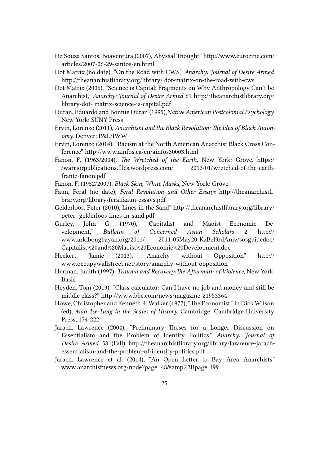- De Souza Santos, Boaventura (2007), Abyssal Thought" http://www.eurozine.com/ articles/2007-06-29-santos-en.html
- Dot Matrix (no date), "On the Road with CWS," *Anarchy: Journal of Desire Armed.* http://theanarchistlibrary.org/library/ dot-matrix-on-the-road-with-cws
- Dot Matrix (2006), "Science is Capital: Fragments on Why Anthropology Can't be Anarchist," *Anarchy: Journal of Desire Armed* 61 http://theanarchistlibrary.org/ library/dot- matrix-science-is-capital.pdf
- Duran, Eduardo and Bonnie Duran (1995),*Native American Postcolonial Psychology,* New York: SUNY Press
- Ervin, Lorenzo (2011), *Anarchism and the Black Revolution: The Idea of Black Autonomy,* Denver: P&L/IWW
- Ervin, Lorenzo (2014), "Racism at the North American Anarchist Black Cross Conference" http://www.ainfos.ca/en/ainfos30003.html
- Fanon, F. (1963/2004), *The Wretched of the Earth,* New York: Grove. https:/ /warriorpublications.files.wordpress.com/ 2013/01/wretched-of-the-earthfrantz-fanon.pdf
- Fanon, F. (1952/2007), *Black Skin, White Masks,* New York: Grove.
- Faun, Feral (no date), *Feral Revolution and Other Essays* http://theanarchistlibrary.org/library/feralfaaun-essays.pdf
- Gelderloos, Peter (2010), Lines in the Sand" http://theanarchistlibrary.org/library/ peter- gelderloos-lines-in-sand.pdf
- Gurley, John G. (1970), "Capitalist and Maoist Economic Development," *Bulletin of Concerned Asian Scholars* 2 http:// www.arkibongbayan.org/2011/ 2011-05May20-KaBel3rdAniv/sosguidedoc/ Capitalist%20and%20Maoist%20Economic%20Development.doc
- Heckert, Jamie (2013), "Anarchy without Opposition" http:// www.occupywallstreet.net/story/anarchy-without-opposition
- Herman, Judith (1997), *Trauma and Recovery:The Aftermath of Violence,* New York: Basic
- Heyden, Tom (2013), "Class calculator: Can I have no job and money and still be middle class?" http://www.bbc.com/news/magazine-21953364
- Howe, Christopher and Kenneth R. Walker (1977), "The Economist," in Dick Wilson (ed), *Mao Tse-Tung in the Scales of History,* Cambridge: Cambridge University Press, 174-222
- Jarach, Lawrence (2004), "Preliminary Theses for a Longer Discussion on Essentialism and the Problem of Identity Politics," *Anarchy: Journal of Desire Armed* 58 (Fall) http://theanarchistlibrary.org/library/lawrence-jarachessentialism-and-the-problem-of-identity-politics.pdf
- Jarach, Lawrence et al. (2014), "An Open Letter to Bay Area Anarchists" www.anarchistnews.org/node?page=48&amp%3Bpage=l99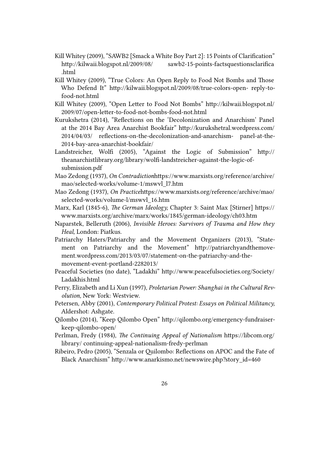- Kill Whitey (2009), "SAWB2 [Smack a White Boy Part 2]: 15 Points of Clarification" http://kilwaii.blogspot.nl/2009/08/ sawb2-15-points-factsquestionsclarifica .html
- Kill Whitey (2009), "True Colors: An Open Reply to Food Not Bombs and Those Who Defend It" http://kilwaii.blogspot.nl/2009/08/true-colors-open- reply-tofood-not.html
- Kill Whitey (2009), "Open Letter to Food Not Bombs" http://kilwaii.blogspot.nl/ 2009/07/open-letter-to-food-not-bombs-food-not.html
- Kurukshetra (2014), "Reflections on the 'Decolonization and Anarchism' Panel at the 2014 Bay Area Anarchist Bookfair" http://kurukshetral.wordpress.com/ 2014/04/03/ reflections-on-the-decolonization-and-anarchism- panel-at-the-2014-bay-area-anarchist-bookfair/
- Landstreicher, Wolfi (2005), "Against the Logic of Submission" http:// theanarchistlibrary.org/library/wolfi-landstreicher-against-the-logic-ofsubmission.pdf
- Mao Zedong (1937), *On Contradiction*https://www.marxists.org/reference/archive/ mao/selected-works/volume-1/mswvl\_l7.htm
- Mao Zedong (1937), *On Practice*https://www.marxists.org/reference/archive/mao/ selected-works/volume-l/mswvl\_16.htm
- Marx, Karl (1845-6), *The German Ideology,* Chapter 3: Saint Max [Stirner] https:// www.marxists.org/archive/marx/works/1845/german-ideology/ch03.htm
- Naparstek, Belleruth (2006), *Invisible Heroes: Survivors of Trauma and How they Heal,* London: Piatkus.
- Patriarchy Haters/Patriarchy and the Movement Organizers (2013), "Statement on Patriarchy and the Movement" http://patriarchyandthemovement.wordpress.com/2013/03/07/statement-on-the-patriarchy-and-themovement-event-portland-2282013/
- Peaceful Societies (no date), "Ladakhi" http://www.peacefulsocieties.org/Society/ Ladakhis.html
- Perry, Elizabeth and Li Xun (1997), *Proletarian Power: Shanghai in the Cultural Revolution,* New York: Westview.
- Petersen, Abby (2001), *Contemporary Political Protest: Essays on Political Militancy,* Aldershot: Ashgate.
- Qilombo (2014), "Keep Qilombo Open" http://qilombo.org/emergency-fundraiserkeep-qilombo-open/
- Perlman, Fredy (1984), *The Continuing Appeal of Nationalism* https://libcom.org/ library/ continuing-appeal-nationalism-fredy-perlman
- Ribeiro, Pedro (2005), "Senzala or Quilombo: Reflections on APOC and the Fate of Black Anarchism" http://www.anarkismo.net/newswire.php?story\_id=460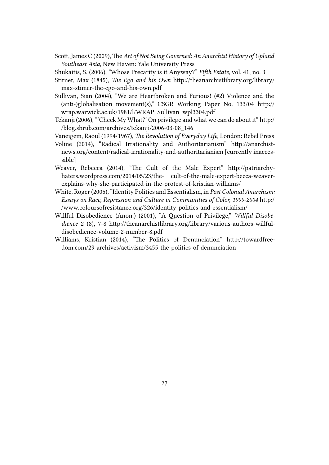- Scott, James C (2009), The *Art of Not Being Governed: An Anarchist History of Upland Southeast Asia,* New Haven: Yale University Press
- Shukaitis, S. (2006), "Whose Precarity is it Anyway?" *Fifth Estate,* vol. 41, no. 3
- Stirner, Max (1845), *The Ego and his Own* http://theanarchistlibrary.org/library/ max-stimer-the-ego-and-his-own.pdf
- Sullivan, Sian (2004), "We are Heartbroken and Furious! (#2) Violence and the (anti-)globalisation movement(s)," CSGR Working Paper No. 133/04 http:// wrap.warwick.ac.uk/1981/l/WRAP\_Sullivan\_wpl3304.pdf
- Tekanji (2006), "'Check My What?' On privilege and what we can do about it" http:/ /blog.shrub.com/archives/tekanji/2006-03-08\_146
- Vaneigem, Raoul (1994/1967), *The Revolution of Everyday Life,* London: Rebel Press
- Voline (2014), "Radical Irrationality and Authoritarianism" http://anarchistnews.org/content/radical-irrationality-and-authoritarianism [currently inaccessible]
- Weaver, Rebecca (2014), "The Cult of the Male Expert" http://patriarchyhaters.wordpress.com/2014/05/23/the- cult-of-the-male-expert-becca-weaverexplains-why-she-participated-in-the-protest-of-kristian-williams/
- White, Roger (2005), "Identity Politics and Essentialism, in *Post Colonial Anarchism: Essays on Race, Repression and Culture in Communities of Color, 1999-2004* http:/ /www.coloursofresistance.org/326/identity-politics-and-essentialism/
- Willful Disobedience (Anon.) (2001), "A Question of Privilege," *Willful Disobedience* 2 (8), 7-8 http://theanarchistlibrary.org/library/various-authors-willfuldisobedience-volume-2-number-8.pdf
- Williams, Kristian (2014), "The Politics of Denunciation" http://towardfreedom.com/29-archives/activism/3455-the-politics-of-denunciation